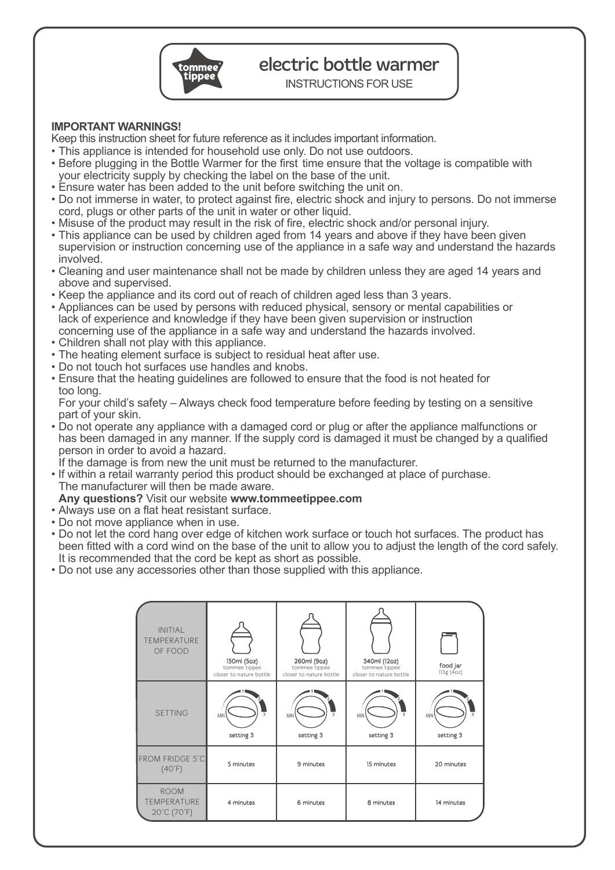

# electric bottle warmer

INSTRUCTIONS FOR USE

## **IMPORTANT WARNINGS!**

Keep this instruction sheet for future reference as it includes important information.

- This appliance is intended for household use only. Do not use outdoors.
- Before plugging in the Bottle Warmer for the first time ensure that the voltage is compatible with your electricity supply by checking the label on the base of the unit.
- Ensure water has been added to the unit before switching the unit on.
- Do not immerse in water, to protect against fire, electric shock and injury to persons. Do not immerse cord, plugs or other parts of the unit in water or other liquid.
- Misuse of the product may result in the risk of fire, electric shock and/or personal injury.
- This appliance can be used by children aged from 14 years and above if they have been given super vision or instruction concerning use of the appliance in a safe way and understand the hazards involved.
- Cleaning and user maintenance shall not be made by children unless they are aged 14 years and above and supervised.
- Keep the appliance and its cord out of reach of children aged less than 3 years.
- Appliances can be used by persons with reduced physical, sensory or mental capabilities or lack of experience and knowledge if they have been given supervision or instruction concerning use of the appliance in a safe way and understand the hazards involved.
- Children shall not play with this appliance.
- The heating element surface is subject to residual heat after use.
- Do not touch hot surfaces use handles and knobs.
- Ensure that the heating guidelines are followed to ensure that the food is not heated for too long.

 For your child's safety – Always check food temperature before feeding by testing on a sensitive part of your skin.

• Do not operate any appliance with a damaged cord or plug or after the appliance malfunctions or has been damaged in any manner. If the supply cord is damaged it must be changed by a qualified person in order to avoid a hazard.

If the damage is from new the unit must be returned to the manufacturer.

• If within a retail warranty period this product should be exchanged at place of purchase. The manufacturer will then be made aware.

## **Any questions?** Visit our website **www.tommeetippee.com**

- Always use on a flat heat resistant surface.
- Do not move appliance when in use.
- Do not let the cord hang over edge of kitchen work surface or touch hot surfaces. The product has been fitted with a cord wind on the base of the unit to allow you to adjust the length of the cord safely. It is recommended that the cord be kept as short as possible.
- Do not use any accessories other than those supplied with this appliance.